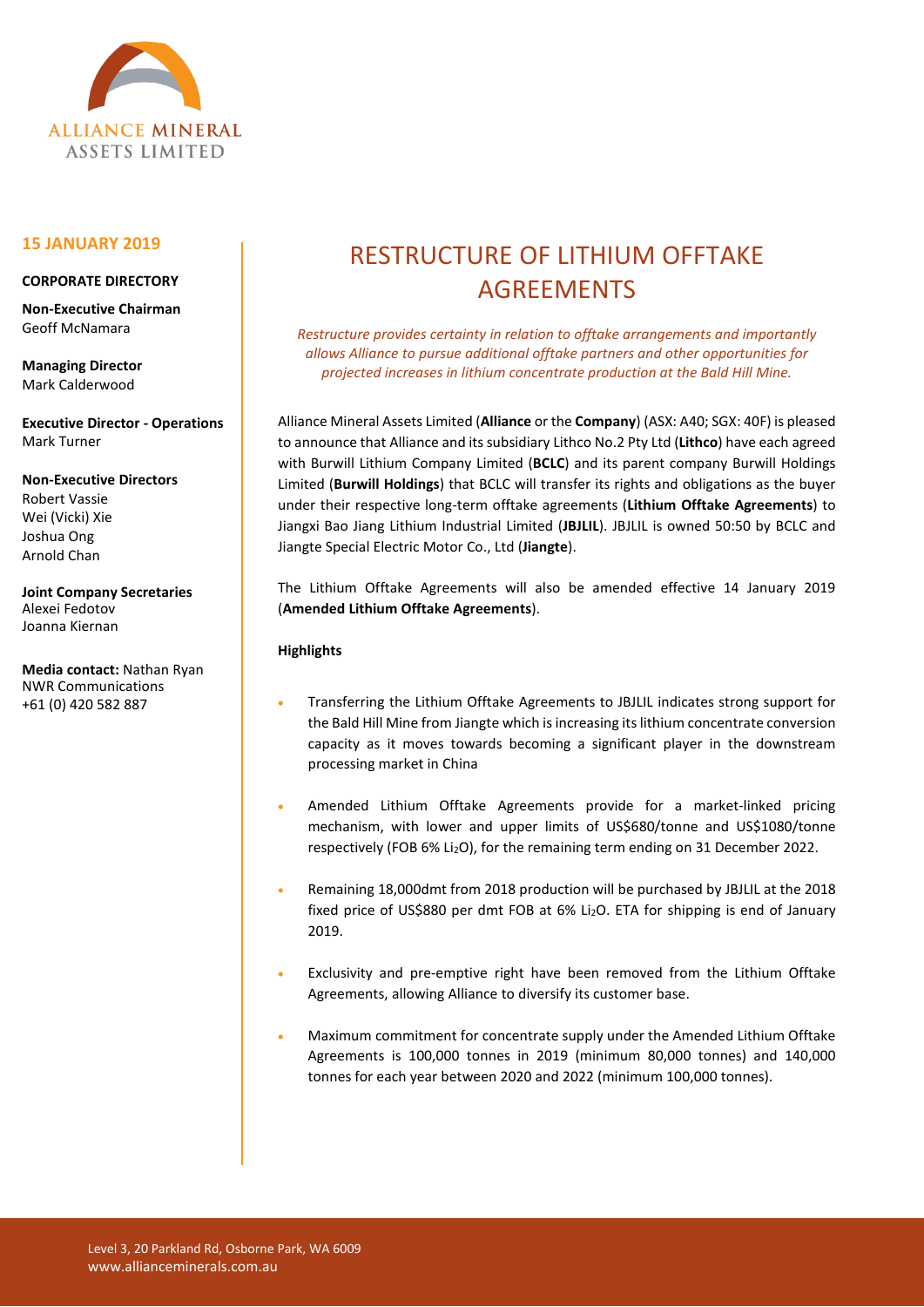

# **15 JANUARY 2019**

#### **CORPORATE DIRECTORY**

**Non-Executive Chairman** Geoff McNamara

**Managing Director** Mark Calderwood

**Executive Director - Operations** Mark Turner

**Non-Executive Directors** Robert Vassie Wei (Vicki) Xie Joshua Ong Arnold Chan

**Joint Company Secretaries** Alexei Fedotov Joanna Kiernan

**Media contact:** Nathan Ryan NWR Communications +61 (0) 420 582 887

# RESTRUCTURE OF LITHIUM OFFTAKE AGREEMENTS

*Restructure provides certainty in relation to offtake arrangements and importantly allows Alliance to pursue additional offtake partners and other opportunities for projected increases in lithium concentrate production at the Bald Hill Mine.*

Alliance Mineral Assets Limited (**Alliance** or the **Company**) (ASX: A40; SGX: 40F) is pleased to announce that Alliance and its subsidiary Lithco No.2 Pty Ltd (**Lithco**) have each agreed with Burwill Lithium Company Limited (**BCLC**) and its parent company Burwill Holdings Limited (**Burwill Holdings**) that BCLC will transfer its rights and obligations as the buyer under their respective long-term offtake agreements (**Lithium Offtake Agreements**) to Jiangxi Bao Jiang Lithium Industrial Limited (**JBJLIL**). JBJLIL is owned 50:50 by BCLC and Jiangte Special Electric Motor Co., Ltd (**Jiangte**).

The Lithium Offtake Agreements will also be amended effective 14 January 2019 (**Amended Lithium Offtake Agreements**).

# **Highlights**

- Transferring the Lithium Offtake Agreements to JBJLIL indicates strong support for the Bald Hill Mine from Jiangte which is increasing its lithium concentrate conversion capacity as it moves towards becoming a significant player in the downstream processing market in China
- Amended Lithium Offtake Agreements provide for a market-linked pricing mechanism, with lower and upper limits of US\$680/tonne and US\$1080/tonne respectively (FOB 6% Li2O), for the remaining term ending on 31 December 2022.
- Remaining 18,000dmt from 2018 production will be purchased by JBJLIL at the 2018 fixed price of US\$880 per dmt FOB at 6% Li<sub>2</sub>O. ETA for shipping is end of January 2019.
- Exclusivity and pre-emptive right have been removed from the Lithium Offtake Agreements, allowing Alliance to diversify its customer base.
- Maximum commitment for concentrate supply under the Amended Lithium Offtake Agreements is 100,000 tonnes in 2019 (minimum 80,000 tonnes) and 140,000 tonnes for each year between 2020 and 2022 (minimum 100,000 tonnes).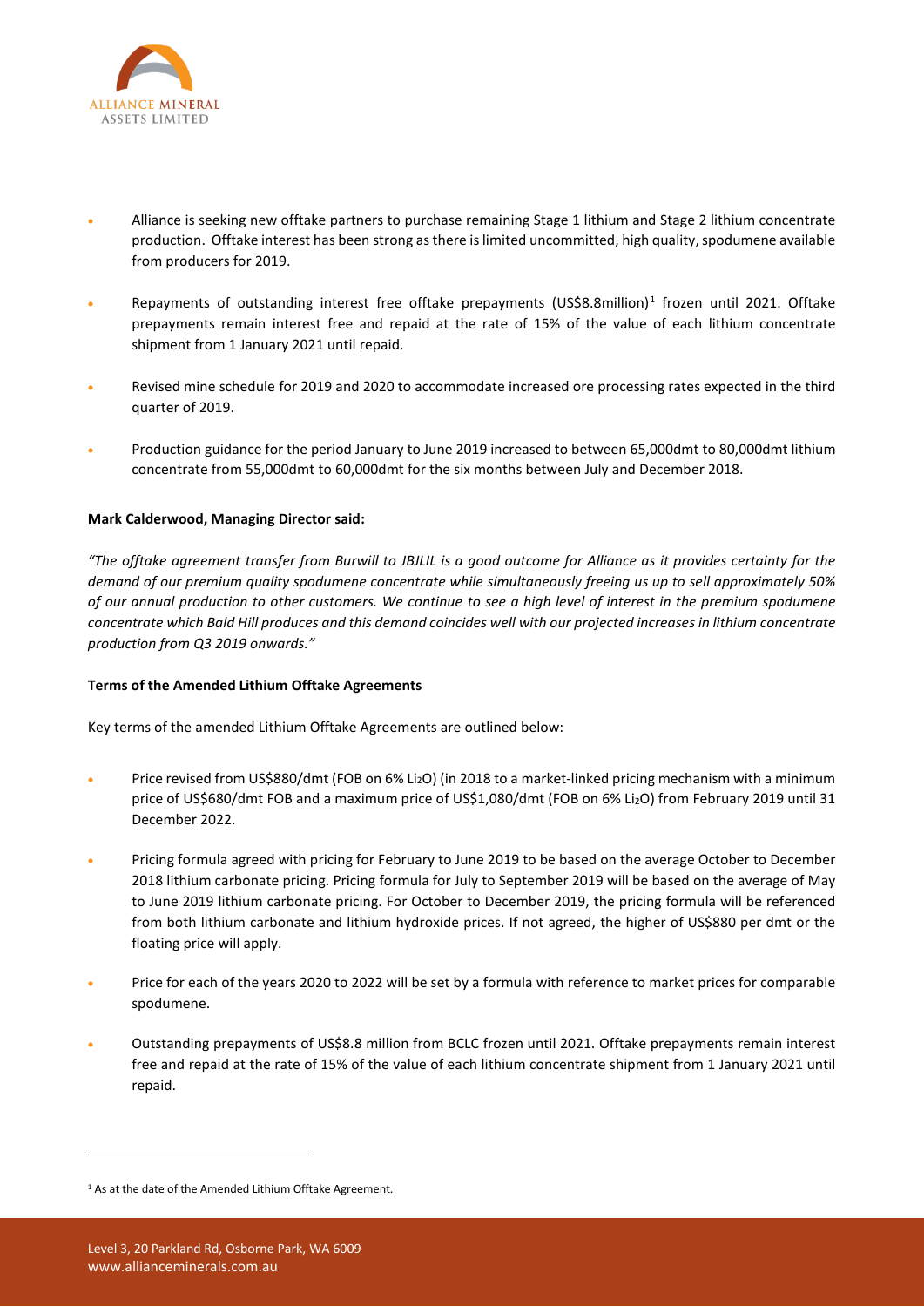

- Alliance is seeking new offtake partners to purchase remaining Stage 1 lithium and Stage 2 lithium concentrate production. Offtake interest has been strong as there is limited uncommitted, high quality, spodumene available from producers for 2019.
- Repayments of outstanding interest free offtake prepayments (US\$8.8million)<sup>[1](#page-1-0)</sup> frozen until 2021. Offtake prepayments remain interest free and repaid at the rate of 15% of the value of each lithium concentrate shipment from 1 January 2021 until repaid.
- Revised mine schedule for 2019 and 2020 to accommodate increased ore processing rates expected in the third quarter of 2019.
- Production guidance for the period January to June 2019 increased to between 65,000dmt to 80,000dmt lithium concentrate from 55,000dmt to 60,000dmt for the six months between July and December 2018.

# **Mark Calderwood, Managing Director said:**

*"The offtake agreement transfer from Burwill to JBJLIL is a good outcome for Alliance as it provides certainty for the demand of our premium quality spodumene concentrate while simultaneously freeing us up to sell approximately 50% of our annual production to other customers. We continue to see a high level of interest in the premium spodumene concentrate which Bald Hill produces and this demand coincides well with our projected increases in lithium concentrate production from Q3 2019 onwards."*

## **Terms of the Amended Lithium Offtake Agreements**

Key terms of the amended Lithium Offtake Agreements are outlined below:

- Price revised from US\$880/dmt (FOB on 6% Li2O) (in 2018 to a market-linked pricing mechanism with a minimum price of US\$680/dmt FOB and a maximum price of US\$1,080/dmt (FOB on 6% Li2O) from February 2019 until 31 December 2022.
- Pricing formula agreed with pricing for February to June 2019 to be based on the average October to December 2018 lithium carbonate pricing. Pricing formula for July to September 2019 will be based on the average of May to June 2019 lithium carbonate pricing. For October to December 2019, the pricing formula will be referenced from both lithium carbonate and lithium hydroxide prices. If not agreed, the higher of US\$880 per dmt or the floating price will apply.
- Price for each of the years 2020 to 2022 will be set by a formula with reference to market prices for comparable spodumene.
- Outstanding prepayments of US\$8.8 million from BCLC frozen until 2021. Offtake prepayments remain interest free and repaid at the rate of 15% of the value of each lithium concentrate shipment from 1 January 2021 until repaid.

**.** 

<span id="page-1-0"></span><sup>&</sup>lt;sup>1</sup> As at the date of the Amended Lithium Offtake Agreement.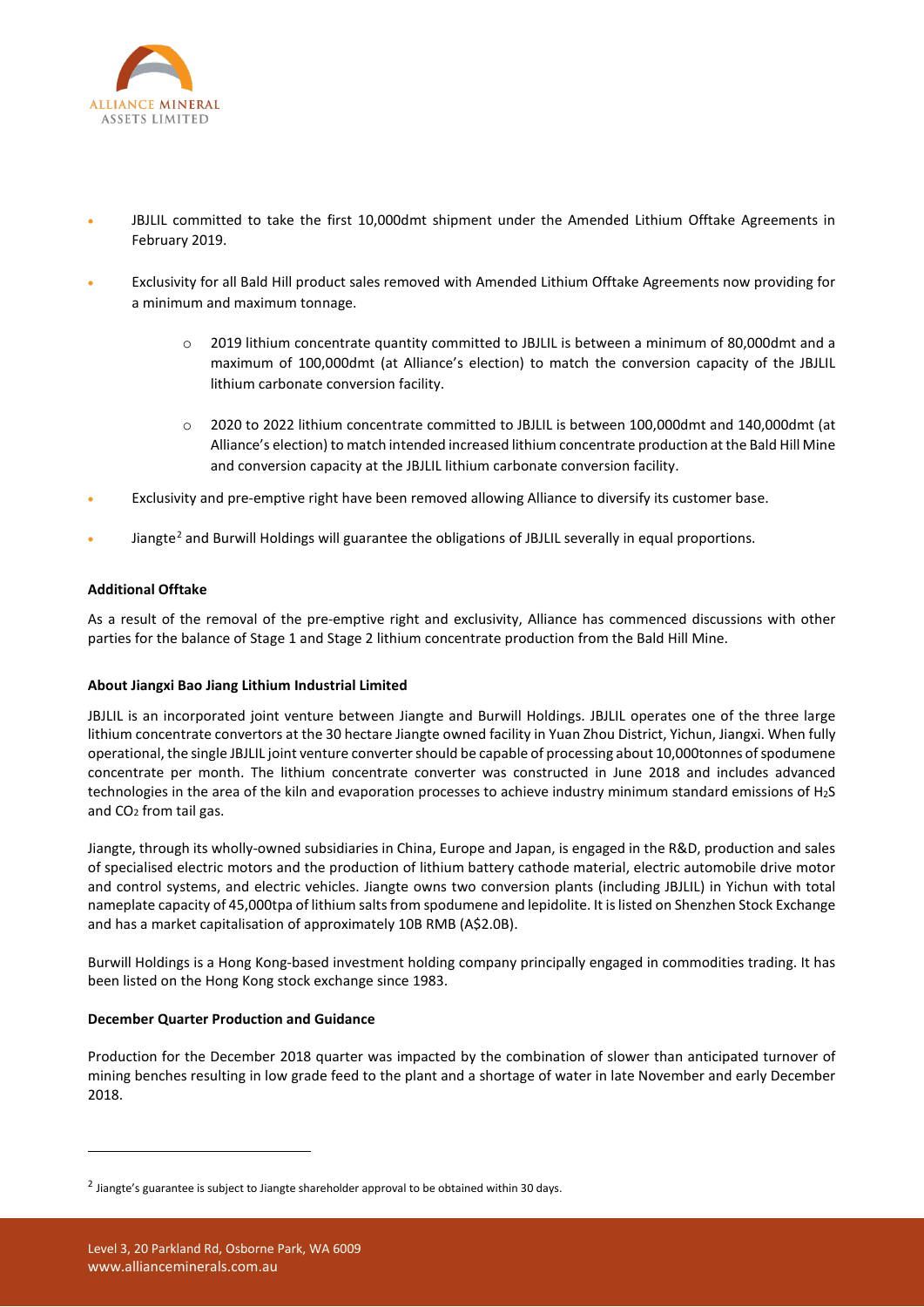

- JBJLIL committed to take the first 10,000dmt shipment under the Amended Lithium Offtake Agreements in February 2019.
- Exclusivity for all Bald Hill product sales removed with Amended Lithium Offtake Agreements now providing for a minimum and maximum tonnage.
	- 2019 lithium concentrate quantity committed to JBJLIL is between a minimum of 80,000dmt and a maximum of 100,000dmt (at Alliance's election) to match the conversion capacity of the JBJLIL lithium carbonate conversion facility.
	- o 2020 to 2022 lithium concentrate committed to JBJLIL is between 100,000dmt and 140,000dmt (at Alliance's election) to match intended increased lithium concentrate production at the Bald Hill Mine and conversion capacity at the JBJLIL lithium carbonate conversion facility.
- Exclusivity and pre-emptive right have been removed allowing Alliance to diversify its customer base.
- Jiangte<sup>[2](#page-2-0)</sup> and Burwill Holdings will guarantee the obligations of JBJLIL severally in equal proportions.

# **Additional Offtake**

As a result of the removal of the pre-emptive right and exclusivity, Alliance has commenced discussions with other parties for the balance of Stage 1 and Stage 2 lithium concentrate production from the Bald Hill Mine.

## **About Jiangxi Bao Jiang Lithium Industrial Limited**

JBJLIL is an incorporated joint venture between Jiangte and Burwill Holdings. JBJLIL operates one of the three large lithium concentrate convertors at the 30 hectare Jiangte owned facility in Yuan Zhou District, Yichun, Jiangxi. When fully operational, the single JBJLIL joint venture converter should be capable of processing about 10,000tonnes of spodumene concentrate per month. The lithium concentrate converter was constructed in June 2018 and includes advanced technologies in the area of the kiln and evaporation processes to achieve industry minimum standard emissions of H2S and CO2 from tail gas.

Jiangte, through its wholly-owned subsidiaries in China, Europe and Japan, is engaged in the R&D, production and sales of specialised electric motors and the production of lithium battery cathode material, electric automobile drive motor and control systems, and electric vehicles. Jiangte owns two conversion plants (including JBJLIL) in Yichun with total nameplate capacity of 45,000tpa of lithium salts from spodumene and lepidolite. It is listed on Shenzhen Stock Exchange and has a market capitalisation of approximately 10B RMB (A\$2.0B).

Burwill Holdings is a Hong Kong-based investment holding company principally engaged in commodities trading. It has been listed on the Hong Kong stock exchange since 1983.

## **December Quarter Production and Guidance**

Production for the December 2018 quarter was impacted by the combination of slower than anticipated turnover of mining benches resulting in low grade feed to the plant and a shortage of water in late November and early December 2018.

1

<span id="page-2-0"></span> $2$  Jiangte's guarantee is subject to Jiangte shareholder approval to be obtained within 30 days.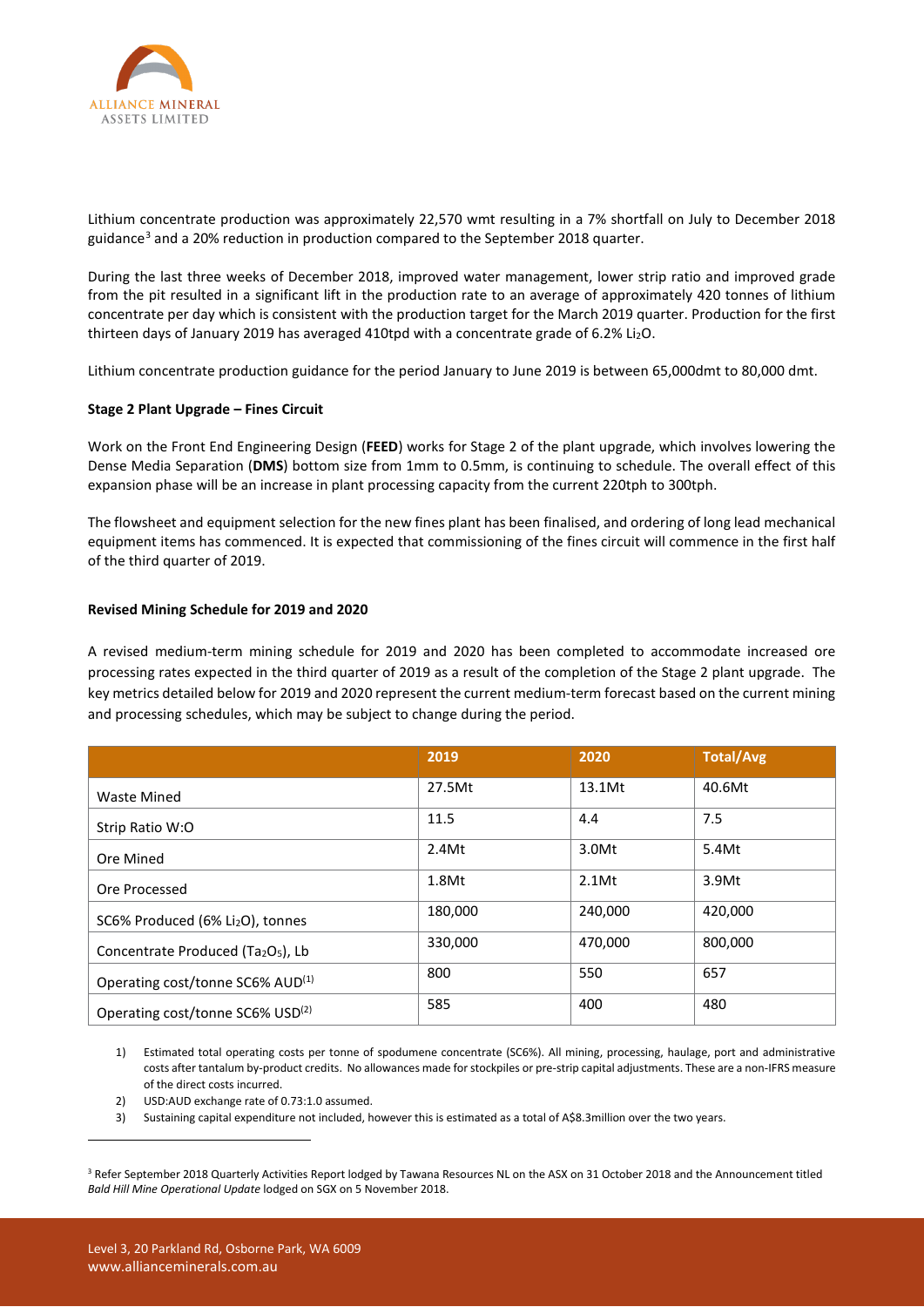

Lithium concentrate production was approximately 22,570 wmt resulting in a 7% shortfall on July to December 2018 guidance<sup>[3](#page-3-0)</sup> and a 20% reduction in production compared to the September 2018 quarter.

During the last three weeks of December 2018, improved water management, lower strip ratio and improved grade from the pit resulted in a significant lift in the production rate to an average of approximately 420 tonnes of lithium concentrate per day which is consistent with the production target for the March 2019 quarter. Production for the first thirteen days of January 2019 has averaged 410tpd with a concentrate grade of 6.2% Li2O.

Lithium concentrate production guidance for the period January to June 2019 is between 65,000dmt to 80,000 dmt.

## **Stage 2 Plant Upgrade – Fines Circuit**

Work on the Front End Engineering Design (**FEED**) works for Stage 2 of the plant upgrade, which involves lowering the Dense Media Separation (**DMS**) bottom size from 1mm to 0.5mm, is continuing to schedule. The overall effect of this expansion phase will be an increase in plant processing capacity from the current 220tph to 300tph.

The flowsheet and equipment selection for the new fines plant has been finalised, and ordering of long lead mechanical equipment items has commenced. It is expected that commissioning of the fines circuit will commence in the first half of the third quarter of 2019.

#### **Revised Mining Schedule for 2019 and 2020**

A revised medium-term mining schedule for 2019 and 2020 has been completed to accommodate increased ore processing rates expected in the third quarter of 2019 as a result of the completion of the Stage 2 plant upgrade. The key metrics detailed below for 2019 and 2020 represent the current medium-term forecast based on the current mining and processing schedules, which may be subject to change during the period.

|                                                            | 2019    | 2020     | <b>Total/Avg</b> |
|------------------------------------------------------------|---------|----------|------------------|
| Waste Mined                                                | 27.5Mt  | 13.1Mt   | 40.6Mt           |
| Strip Ratio W:O                                            | 11.5    | 4.4      | 7.5              |
| Ore Mined                                                  | 2.4Mt   | 3.0Mt    | 5.4Mt            |
| Ore Processed                                              | 1.8Mt   | $2.1$ Mt | 3.9Mt            |
| SC6% Produced (6% Li <sub>2</sub> O), tonnes               | 180,000 | 240,000  | 420,000          |
| Concentrate Produced (Ta <sub>2</sub> O <sub>5</sub> ), Lb | 330,000 | 470.000  | 800,000          |
| Operating cost/tonne SC6% AUD <sup>(1)</sup>               | 800     | 550      | 657              |
| Operating cost/tonne SC6% USD(2)                           | 585     | 400      | 480              |

1) Estimated total operating costs per tonne of spodumene concentrate (SC6%). All mining, processing, haulage, port and administrative costs after tantalum by-product credits. No allowances made for stockpiles or pre-strip capital adjustments. These are a non-IFRS measure of the direct costs incurred.

- 2) USD:AUD exchange rate of 0.73:1.0 assumed.
- 3) Sustaining capital expenditure not included, however this is estimated as a total of A\$8.3million over the two years.

**.** 

<span id="page-3-0"></span><sup>&</sup>lt;sup>3</sup> Refer September 2018 Quarterly Activities Report lodged by Tawana Resources NL on the ASX on 31 October 2018 and the Announcement titled *Bald Hill Mine Operational Update* lodged on SGX on 5 November 2018.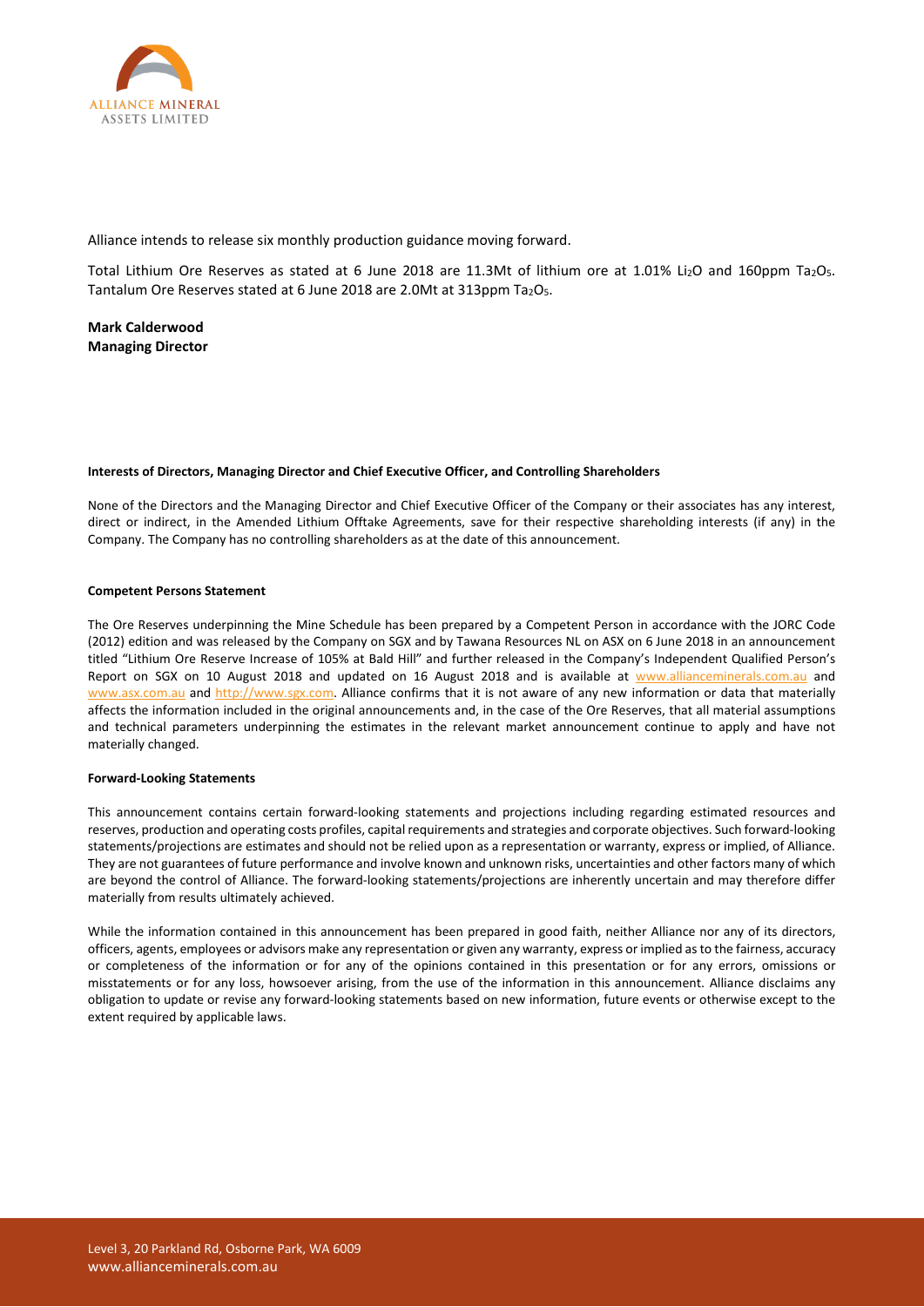

Alliance intends to release six monthly production guidance moving forward.

Total Lithium Ore Reserves as stated at 6 June 2018 are 11.3Mt of lithium ore at 1.01% Li2O and 160ppm Ta2O5. Tantalum Ore Reserves stated at 6 June 2018 are 2.0Mt at 313ppm Ta<sub>2</sub>O<sub>5</sub>.

**Mark Calderwood Managing Director**

#### **Interests of Directors, Managing Director and Chief Executive Officer, and Controlling Shareholders**

None of the Directors and the Managing Director and Chief Executive Officer of the Company or their associates has any interest, direct or indirect, in the Amended Lithium Offtake Agreements, save for their respective shareholding interests (if any) in the Company. The Company has no controlling shareholders as at the date of this announcement.

#### **Competent Persons Statement**

The Ore Reserves underpinning the Mine Schedule has been prepared by a Competent Person in accordance with the JORC Code (2012) edition and was released by the Company on SGX and by Tawana Resources NL on ASX on 6 June 2018 in an announcement titled "Lithium Ore Reserve Increase of 105% at Bald Hill" and further released in the Company's Independent Qualified Person's Report on SGX on 10 August 2018 and updated on 16 August 2018 and is available at [www.allianceminerals.com.au](http://www.allianceminerals.com.au/) and [www.asx.com.au](http://www.asx.com.au/) and [http://www.sgx.com.](http://www.sgx.com/) Alliance confirms that it is not aware of any new information or data that materially affects the information included in the original announcements and, in the case of the Ore Reserves, that all material assumptions and technical parameters underpinning the estimates in the relevant market announcement continue to apply and have not materially changed.

#### **Forward-Looking Statements**

This announcement contains certain forward-looking statements and projections including regarding estimated resources and reserves, production and operating costs profiles, capital requirements and strategies and corporate objectives. Such forward-looking statements/projections are estimates and should not be relied upon as a representation or warranty, express or implied, of Alliance. They are not guarantees of future performance and involve known and unknown risks, uncertainties and other factors many of which are beyond the control of Alliance. The forward-looking statements/projections are inherently uncertain and may therefore differ materially from results ultimately achieved.

While the information contained in this announcement has been prepared in good faith, neither Alliance nor any of its directors, officers, agents, employees or advisors make any representation or given any warranty, express or implied as to the fairness, accuracy or completeness of the information or for any of the opinions contained in this presentation or for any errors, omissions or misstatements or for any loss, howsoever arising, from the use of the information in this announcement. Alliance disclaims any obligation to update or revise any forward-looking statements based on new information, future events or otherwise except to the extent required by applicable laws.